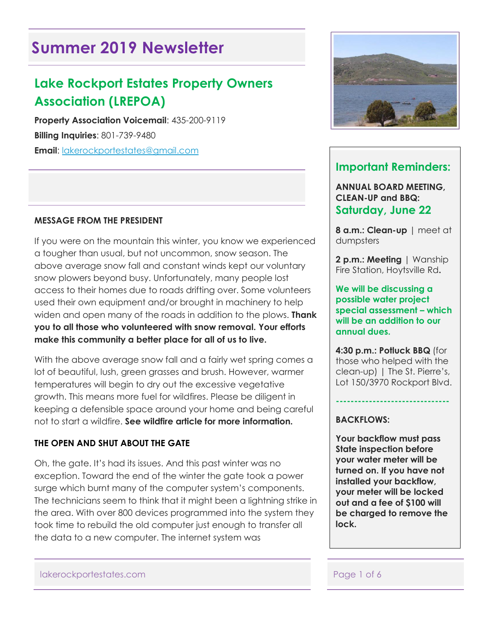# **Summer 2019 Newsletter**

## **Lake Rockport Estates Property Owners Association (LREPOA)**

**Property Association Voicemail**: 435-200-9119 **Billing Inquiries**: 801-739-9480 **Email**: [lakerockportestates@gmail.com](mailto:lakerockportestates@gmail.com)

#### **MESSAGE FROM THE PRESIDENT**

If you were on the mountain this winter, you know we experienced a tougher than usual, but not uncommon, snow season. The above average snow fall and constant winds kept our voluntary snow plowers beyond busy. Unfortunately, many people lost access to their homes due to roads drifting over. Some volunteers used their own equipment and/or brought in machinery to help widen and open many of the roads in addition to the plows. **Thank you to all those who volunteered with snow removal. Your efforts make this community a better place for all of us to live.** 

With the above average snow fall and a fairly wet spring comes a lot of beautiful, lush, green grasses and brush. However, warmer temperatures will begin to dry out the excessive vegetative growth. This means more fuel for wildfires. Please be diligent in keeping a defensible space around your home and being careful not to start a wildfire. **See wildfire article for more information.**

#### **THE OPEN AND SHUT ABOUT THE GATE**

Oh, the gate. It's had its issues. And this past winter was no exception. Toward the end of the winter the gate took a power surge which burnt many of the computer system's components. The technicians seem to think that it might been a lightning strike in the area. With over 800 devices programmed into the system they took time to rebuild the old computer just enough to transfer all the data to a new computer. The internet system was



### **Important Reminders:**

**ANNUAL BOARD MEETING, CLEAN-UP and BBQ: Saturday, June 22**

**8 a.m.: Clean-up** | meet at dumpsters

**2 p.m.: Meeting** | Wanship Fire Station, Hoytsville Rd**.**

**We will be discussing a possible water project special assessment – which will be an addition to our annual dues.** 

**4:30 p.m.: Potluck BBQ** (for those who helped with the clean-up) | The St. Pierre's, Lot 150/3970 Rockport Blvd.

**-------------------------------**

#### **BACKFLOWS:**

**Your backflow must pass State inspection before your water meter will be turned on. If you have not installed your backflow, your meter will be locked out and a fee of \$100 will be charged to remove the lock.**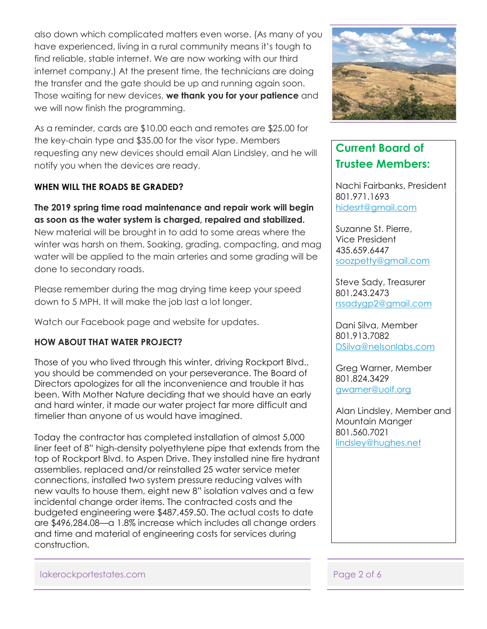also down which complicated matters even worse. (As many of you have experienced, living in a rural community means it's tough to find reliable, stable internet. We are now working with our third internet company.) At the present time, the technicians are doing the transfer and the gate should be up and running again soon. Those waiting for new devices, **we thank you for your patience** and we will now finish the programming.

As a reminder, cards are \$10.00 each and remotes are \$25.00 for the key-chain type and \$35.00 for the visor type. Members requesting any new devices should email Alan Lindsley, and he will notify you when the devices are ready.

#### **WHEN WILL THE ROADS BE GRADED?**

**The 2019 spring time road maintenance and repair work will begin as soon as the water system is charged, repaired and stabilized.** New material will be brought in to add to some areas where the winter was harsh on them. Soaking, grading, compacting, and mag water will be applied to the main arteries and some grading will be done to secondary roads.

Please remember during the mag drying time keep your speed down to 5 MPH. It will make the job last a lot longer.

Watch our Facebook page and website for updates.

#### **HOW ABOUT THAT WATER PROJECT?**

Those of you who lived through this winter, driving Rockport Blvd., you should be commended on your perseverance. The Board of Directors apologizes for all the inconvenience and trouble it has been. With Mother Nature deciding that we should have an early and hard winter, it made our water project far more difficult and timelier than anyone of us would have imagined.

Today the contractor has completed installation of almost 5,000 liner feet of 8" high-density polyethylene pipe that extends from the top of Rockport Blvd. to Aspen Drive. They installed nine fire hydrant assemblies, replaced and/or reinstalled 25 water service meter connections, installed two system pressure reducing valves with new vaults to house them, eight new 8" isolation valves and a few incidental change order items. The contracted costs and the budgeted engineering were \$487,459.50. The actual costs to date are \$496,284.08—a 1.8% increase which includes all change orders and time and material of engineering costs for services during construction.



## **Current Board of Trustee Members:**

Nachi Fairbanks, President 801.971.1693 [hidesrt@gmail.com](mailto:hidesrt@gmail.com)

Suzanne St. Pierre, Vice President 435.659.6447 [soozpetty@gmail.com](mailto:soozpetty@gmail.com)

Steve Sady, Treasurer 801.243.2473 [rssadygp2@gmail.com](mailto:rssadygp2@gmail.com)

Dani Silva, Member 801.913.7082 [DSilva@nelsonlabs.com](mailto:DSilva@nelsonlabs.com)

Greg Warner, Member 801.824.3429 [gwarner@uolf.org](mailto:gwarner@uolf.org)

Alan Lindsley, Member and Mountain Manger 801.560.7021 [lindsley@hughes.net](mailto:lindsley@hughes.net)

lakerockportestates.com entry and the page 2 of 6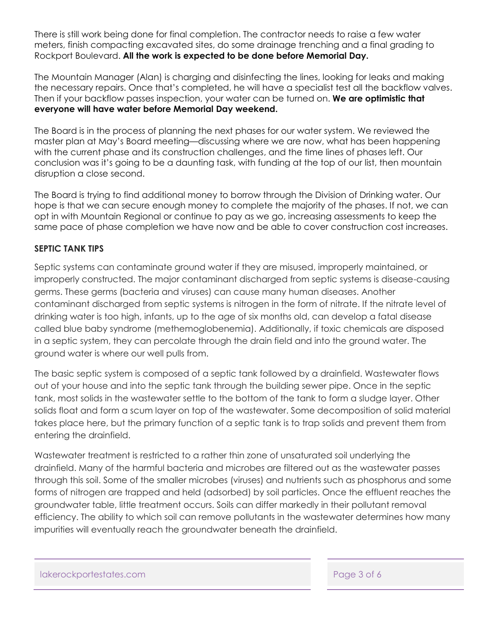There is still work being done for final completion. The contractor needs to raise a few water meters, finish compacting excavated sites, do some drainage trenching and a final grading to Rockport Boulevard. **All the work is expected to be done before Memorial Day.** 

The Mountain Manager (Alan) is charging and disinfecting the lines, looking for leaks and making the necessary repairs. Once that's completed, he will have a specialist test all the backflow valves. Then if your backflow passes inspection, your water can be turned on. **We are optimistic that everyone will have water before Memorial Day weekend.** 

The Board is in the process of planning the next phases for our water system. We reviewed the master plan at May's Board meeting—discussing where we are now, what has been happening with the current phase and its construction challenges, and the time lines of phases left. Our conclusion was it's going to be a daunting task, with funding at the top of our list, then mountain disruption a close second.

The Board is trying to find additional money to borrow through the Division of Drinking water. Our hope is that we can secure enough money to complete the majority of the phases. If not, we can opt in with Mountain Regional or continue to pay as we go, increasing assessments to keep the same pace of phase completion we have now and be able to cover construction cost increases.

#### **SEPTIC TANK TIPS**

Septic systems can contaminate ground water if they are misused, improperly maintained, or improperly constructed. The major contaminant discharged from septic systems is disease-causing germs. These germs (bacteria and viruses) can cause many human diseases. Another contaminant discharged from septic systems is nitrogen in the form of nitrate. If the nitrate level of drinking water is too high, infants, up to the age of six months old, can develop a fatal disease called blue baby syndrome (methemoglobenemia). Additionally, if toxic chemicals are disposed in a septic system, they can percolate through the drain field and into the ground water. The ground water is where our well pulls from.

The basic septic system is composed of a septic tank followed by a drainfield. Wastewater flows out of your house and into the septic tank through the building sewer pipe. Once in the septic tank, most solids in the wastewater settle to the bottom of the tank to form a sludge layer. Other solids float and form a scum layer on top of the wastewater. Some decomposition of solid material takes place here, but the primary function of a septic tank is to trap solids and prevent them from entering the drainfield.

Wastewater treatment is restricted to a rather thin zone of unsaturated soil underlying the drainfield. Many of the harmful bacteria and microbes are filtered out as the wastewater passes through this soil. Some of the smaller microbes (viruses) and nutrients such as phosphorus and some forms of nitrogen are trapped and held (adsorbed) by soil particles. Once the effluent reaches the groundwater table, little treatment occurs. Soils can differ markedly in their pollutant removal efficiency. The ability to which soil can remove pollutants in the wastewater determines how many impurities will eventually reach the groundwater beneath the drainfield.

lakerockportestates.com expansion of the page 3 of 6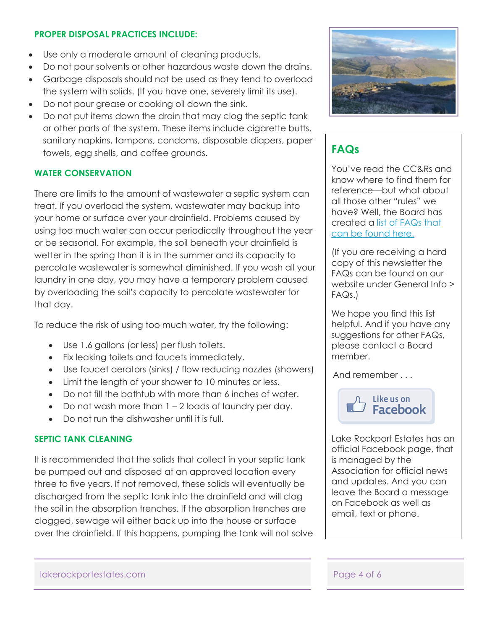#### **PROPER DISPOSAL PRACTICES INCLUDE:**

- Use only a moderate amount of cleaning products.
- Do not pour solvents or other hazardous waste down the drains.
- Garbage disposals should not be used as they tend to overload the system with solids. (If you have one, severely limit its use).
- Do not pour grease or cooking oil down the sink.
- Do not put items down the drain that may clog the septic tank or other parts of the system. These items include cigarette butts, sanitary napkins, tampons, condoms, disposable diapers, paper towels, egg shells, and coffee grounds.

#### **WATER CONSERVATION**

There are limits to the amount of wastewater a septic system can treat. If you overload the system, wastewater may backup into your home or surface over your drainfield. Problems caused by using too much water can occur periodically throughout the year or be seasonal. For example, the soil beneath your drainfield is wetter in the spring than it is in the summer and its capacity to percolate wastewater is somewhat diminished. If you wash all your laundry in one day, you may have a temporary problem caused by overloading the soil's capacity to percolate wastewater for that day.

To reduce the risk of using too much water, try the following:

- Use 1.6 gallons (or less) per flush toilets.
- Fix leaking toilets and faucets immediately.
- Use faucet aerators (sinks) / flow reducing nozzles (showers)
- Limit the length of your shower to 10 minutes or less.
- Do not fill the bathtub with more than 6 inches of water.
- Do not wash more than 1 2 loads of laundry per day.
- Do not run the dishwasher until it is full.

#### **SEPTIC TANK CLEANING**

It is recommended that the solids that collect in your septic tank be pumped out and disposed at an approved location every three to five years. If not removed, these solids will eventually be discharged from the septic tank into the drainfield and will clog the soil in the absorption trenches. If the absorption trenches are clogged, sewage will either back up into the house or surface over the drainfield. If this happens, pumping the tank will not solve



## **FAQs**

You've read the CC&Rs and know where to find them for reference—but what about all those other "rules" we have? Well, the Board has created a [list of FAQs that](http://lakerockportestates.com/faqs/)  [can be found here.](http://lakerockportestates.com/faqs/)

(If you are receiving a hard copy of this newsletter the FAQs can be found on our website under General Info > FAQs.)

We hope you find this list helpful. And if you have any suggestions for other FAQs, please contact a Board member.

And remember . . .



Lake Rockport Estates has an official Facebook page, that is managed by the Association for official news and updates. And you can leave the Board a message on Facebook as well as email, text or phone.

lakerockportestates.com entry and the page 4 of 6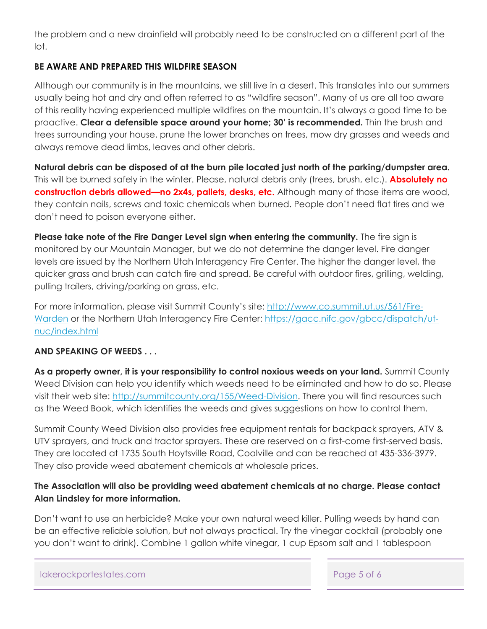the problem and a new drainfield will probably need to be constructed on a different part of the lot.

#### **BE AWARE AND PREPARED THIS WILDFIRE SEASON**

Although our community is in the mountains, we still live in a desert. This translates into our summers usually being hot and dry and often referred to as "wildfire season". Many of us are all too aware of this reality having experienced multiple wildfires on the mountain. It's always a good time to be proactive. **Clear a defensible space around your home; 30' is recommended.** Thin the brush and trees surrounding your house, prune the lower branches on trees, mow dry grasses and weeds and always remove dead limbs, leaves and other debris.

**Natural debris can be disposed of at the burn pile located just north of the parking/dumpster area.** This will be burned safely in the winter. Please, natural debris only (trees, brush, etc.). **Absolutely no construction debris allowed—no 2x4s, pallets, desks, etc.** Although many of those items are wood, they contain nails, screws and toxic chemicals when burned. People don't need flat tires and we don't need to poison everyone either.

**Please take note of the Fire Danger Level sign when entering the community.** The fire sign is monitored by our Mountain Manager, but we do not determine the danger level. Fire danger levels are issued by the Northern Utah Interagency Fire Center. The higher the danger level, the quicker grass and brush can catch fire and spread. Be careful with outdoor fires, grilling, welding, pulling trailers, driving/parking on grass, etc.

For more information, please visit Summit County's site: [http://www.co.summit.ut.us/561/Fire-](http://www.co.summit.ut.us/561/Fire-Warden)[Warden](http://www.co.summit.ut.us/561/Fire-Warden) or the Northern Utah Interagency Fire Center: [https://gacc.nifc.gov/gbcc/dispatch/ut](https://gacc.nifc.gov/gbcc/dispatch/ut-nuc/index.html)[nuc/index.html](https://gacc.nifc.gov/gbcc/dispatch/ut-nuc/index.html)

#### **AND SPEAKING OF WEEDS . . .**

**As a property owner, it is your responsibility to control noxious weeds on your land.** Summit County Weed Division can help you identify which weeds need to be eliminated and how to do so. Please visit their web site: [http://summitcounty.org/155/Weed-Division.](http://summitcounty.org/155/Weed-Division) There you will find resources such as the Weed Book, which identifies the weeds and gives suggestions on how to control them.

Summit County Weed Division also provides free equipment rentals for backpack sprayers, ATV & UTV sprayers, and truck and tractor sprayers. These are reserved on a first-come first-served basis. They are located at 1735 South Hoytsville Road, Coalville and can be reached at 435-336-3979. They also provide weed abatement chemicals at wholesale prices.

#### **The Association will also be providing weed abatement chemicals at no charge. Please contact Alan Lindsley for more information.**

Don't want to use an herbicide? Make your own natural weed killer. Pulling weeds by hand can be an effective reliable solution, but not always practical. Try the vinegar cocktail (probably one you don't want to drink). Combine 1 gallon white vinegar, 1 cup Epsom salt and 1 tablespoon